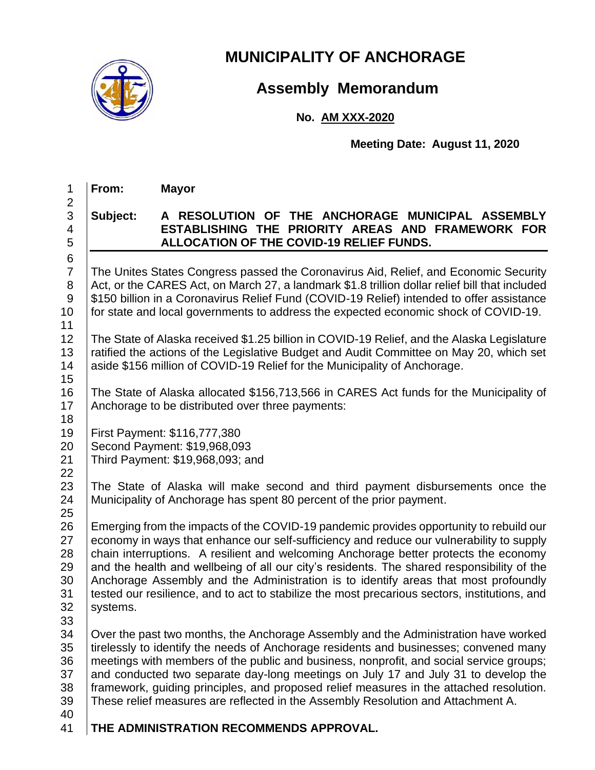

### **MUNICIPALITY OF ANCHORAGE**

## **Assembly Memorandum**

#### **No. AM XXX-2020**

**Meeting Date: August 11, 2020**

1 **From: Mayor**

# 2

6

#### 3 **Subject: A RESOLUTION OF THE ANCHORAGE MUNICIPAL ASSEMBLY**  4 **ESTABLISHING THE PRIORITY AREAS AND FRAMEWORK FOR**  5 **ALLOCATION OF THE COVID-19 RELIEF FUNDS.**

7 | The Unites States Congress passed the Coronavirus Aid, Relief, and Economic Security 8 Act, or the CARES Act, on March 27, a landmark \$1.8 trillion dollar relief bill that included 9 | \$150 billion in a Coronavirus Relief Fund (COVID-19 Relief) intended to offer assistance 10 for state and local governments to address the expected economic shock of COVID-19.

11

12 The State of Alaska received \$1.25 billion in COVID-19 Relief, and the Alaska Legislature 13 Tratified the actions of the Legislative Budget and Audit Committee on May 20, which set 14 | aside \$156 million of COVID-19 Relief for the Municipality of Anchorage.

15 16 The State of Alaska allocated \$156,713,566 in CARES Act funds for the Municipality of 17 Anchorage to be distributed over three payments:

18

22

19 First Payment: \$116,777,380

20 Second Payment: \$19,968,093

21 Third Payment: \$19,968,093; and

23 The State of Alaska will make second and third payment disbursements once the 24 Municipality of Anchorage has spent 80 percent of the prior payment.

25 26 Emerging from the impacts of the COVID-19 pandemic provides opportunity to rebuild our 27 economy in ways that enhance our self-sufficiency and reduce our vulnerability to supply 28 chain interruptions. A resilient and welcoming Anchorage better protects the economy  $29$  and the health and wellbeing of all our city's residents. The shared responsibility of the 30 Anchorage Assembly and the Administration is to identify areas that most profoundly 31 tested our resilience, and to act to stabilize the most precarious sectors, institutions, and 32 | systems.

33

34 Over the past two months, the Anchorage Assembly and the Administration have worked 35 tirelessly to identify the needs of Anchorage residents and businesses; convened many 36 meetings with members of the public and business, nonprofit, and social service groups; 37 and conducted two separate day-long meetings on July 17 and July 31 to develop the 38 framework, guiding principles, and proposed relief measures in the attached resolution. 39 These relief measures are reflected in the Assembly Resolution and Attachment A.

40

41 **THE ADMINISTRATION RECOMMENDS APPROVAL.**